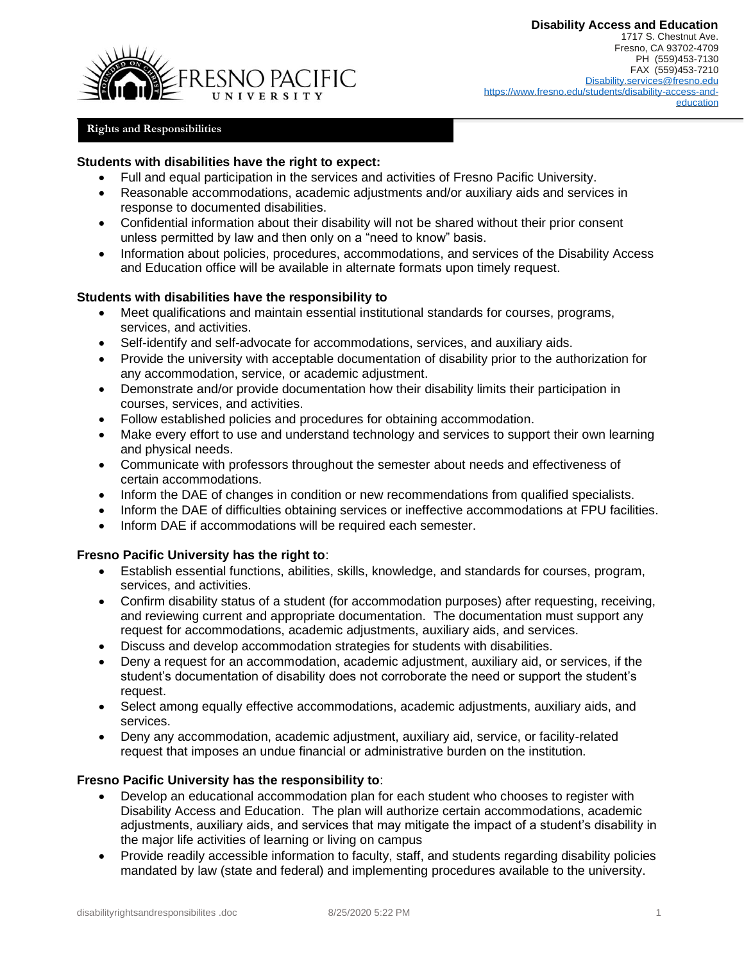

## **Rights and Responsibilities**

#### **Students with disabilities have the right to expect:**

- Full and equal participation in the services and activities of Fresno Pacific University.
- Reasonable accommodations, academic adjustments and/or auxiliary aids and services in response to documented disabilities.
- Confidential information about their disability will not be shared without their prior consent unless permitted by law and then only on a "need to know" basis.
- Information about policies, procedures, accommodations, and services of the Disability Access and Education office will be available in alternate formats upon timely request.

#### **Students with disabilities have the responsibility to**

- Meet qualifications and maintain essential institutional standards for courses, programs, services, and activities.
- Self-identify and self-advocate for accommodations, services, and auxiliary aids.
- Provide the university with acceptable documentation of disability prior to the authorization for any accommodation, service, or academic adjustment.
- Demonstrate and/or provide documentation how their disability limits their participation in courses, services, and activities.
- Follow established policies and procedures for obtaining accommodation.
- Make every effort to use and understand technology and services to support their own learning and physical needs.
- Communicate with professors throughout the semester about needs and effectiveness of certain accommodations.
- Inform the DAE of changes in condition or new recommendations from qualified specialists.
- Inform the DAE of difficulties obtaining services or ineffective accommodations at FPU facilities.
- Inform DAE if accommodations will be required each semester.

### **Fresno Pacific University has the right to**:

- Establish essential functions, abilities, skills, knowledge, and standards for courses, program, services, and activities.
- Confirm disability status of a student (for accommodation purposes) after requesting, receiving, and reviewing current and appropriate documentation. The documentation must support any request for accommodations, academic adjustments, auxiliary aids, and services.
- Discuss and develop accommodation strategies for students with disabilities.
- Deny a request for an accommodation, academic adjustment, auxiliary aid, or services, if the student's documentation of disability does not corroborate the need or support the student's request.
- Select among equally effective accommodations, academic adjustments, auxiliary aids, and services.
- Deny any accommodation, academic adjustment, auxiliary aid, service, or facility-related request that imposes an undue financial or administrative burden on the institution.

# **Fresno Pacific University has the responsibility to**:

- Develop an educational accommodation plan for each student who chooses to register with Disability Access and Education. The plan will authorize certain accommodations, academic adjustments, auxiliary aids, and services that may mitigate the impact of a student's disability in the major life activities of learning or living on campus
- Provide readily accessible information to faculty, staff, and students regarding disability policies mandated by law (state and federal) and implementing procedures available to the university.